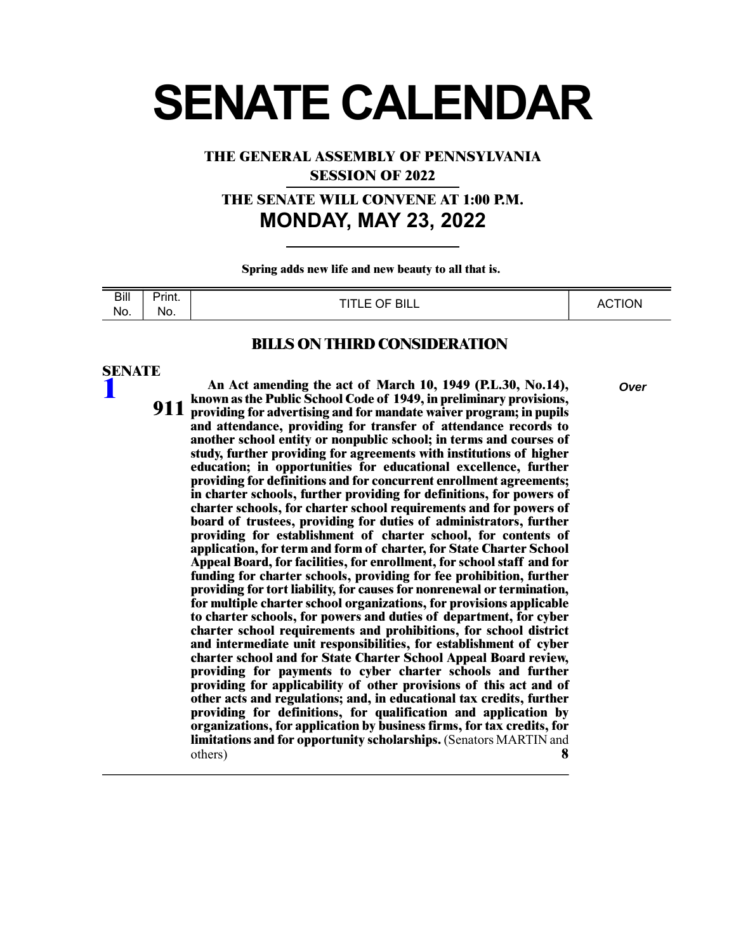# **SENATE CALENDAR**

**THE GENERAL ASSEMBLY OF PENNSYLVANIA**

**SESSION OF 2022**

**THE SENATE WILL CONVENE AT 1:00 P.M. MONDAY, MAY 23, 2022**

**Spring adds new life and new beauty to all that is.** 

| $\overline{Bill}$<br>---- | .<br><b>Print.</b> | OF BILL<br>T(T)<br>- | <b>CTION</b><br>$\Delta \Gamma$ |
|---------------------------|--------------------|----------------------|---------------------------------|
| No.                       | No.<br>__          | ---                  | nv                              |

#### **BILLS ON THIRD CONSIDERATION**

#### **SENATE**

**[1](/cfdocs/billinfo/billinfo.cfm?syear=2021&sind=0&body=S&type=B&bn=1)**

**An Act amending the act of March 10, 1949 (P.L.30, No.14),** *Over* **known as the Public School Code of 1949, in preliminary provisions, providing for advertising and for mandate waiver program; in pupils and attendance, providing for transfer of attendance records to another school entity or nonpublic school; in terms and courses of study, further providing for agreements with institutions of higher 911 education; in opportunities for educational excellence, further providing for definitions and for concurrent enrollment agreements; in charter schools, further providing for definitions, for powers of charter schools, for charter school requirements and for powers of board of trustees, providing for duties of administrators, further providing for establishment of charter school, for contents of application, for term and form of charter, for State Charter School Appeal Board, for facilities, for enrollment, for school staff and for funding for charter schools, providing for fee prohibition, further providing for tort liability, for causes for nonrenewal or termination, for multiple charter school organizations, for provisions applicable to charter schools, for powers and duties of department, for cyber charter school requirements and prohibitions, for school district and intermediate unit responsibilities, for establishment of cyber charter school and for State Charter School Appeal Board review, providing for payments to cyber charter schools and further providing for applicability of other provisions of this act and of other acts and regulations; and, in educational tax credits, further providing for definitions, for qualification and application by organizations, for application by business firms, for tax credits, for limitations and for opportunity scholarships.** (Senators MARTIN and others) **8**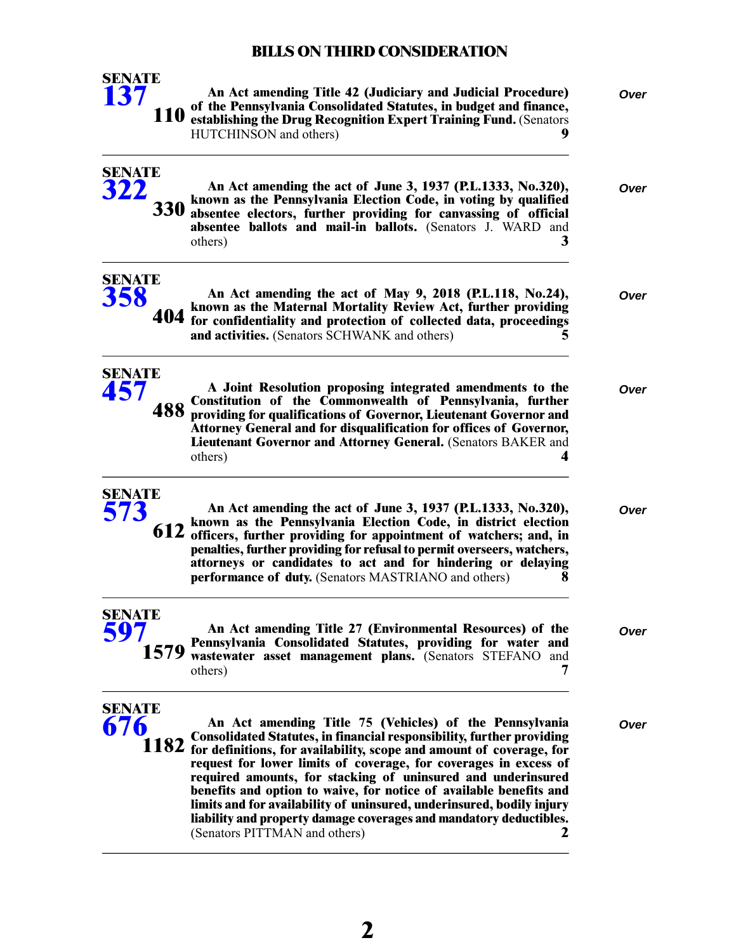| <b>SENATE</b><br><b>137</b> |            | An Act amending Title 42 (Judiciary and Judicial Procedure)<br>of the Pennsylvania Consolidated Statutes, in budget and finance,<br>110 establishing the Drug Recognition Expert Training Fund. (Senators<br>HUTCHINSON and others)                                                                                                                                                                                                                                                                                                                                                                                 | Over |
|-----------------------------|------------|---------------------------------------------------------------------------------------------------------------------------------------------------------------------------------------------------------------------------------------------------------------------------------------------------------------------------------------------------------------------------------------------------------------------------------------------------------------------------------------------------------------------------------------------------------------------------------------------------------------------|------|
| <b>SENATE</b><br>322        | <b>330</b> | An Act amending the act of June 3, 1937 (P.L.1333, No.320),<br>known as the Pennsylvania Election Code, in voting by qualified<br>absentee electors, further providing for canvassing of official<br>absentee ballots and mail-in ballots. (Senators J. WARD and<br>3<br>others)                                                                                                                                                                                                                                                                                                                                    | Over |
| <b>SENATE</b><br>358        |            | An Act amending the act of May 9, 2018 (P.L.118, No.24),<br>known as the Maternal Mortality Review Act, further providing<br>404 for confidentiality and protection of collected data, proceedings<br>and activities. (Senators SCHWANK and others)                                                                                                                                                                                                                                                                                                                                                                 | Over |
| <b>SENATE</b><br>457        | 488        | A Joint Resolution proposing integrated amendments to the<br>Constitution of the Commonwealth of Pennsylvania, further<br>providing for qualifications of Governor, Lieutenant Governor and<br>Attorney General and for disqualification for offices of Governor,<br>Lieutenant Governor and Attorney General. (Senators BAKER and<br>others)<br>4                                                                                                                                                                                                                                                                  | Over |
| <b>SENATE</b><br>573        | 612        | An Act amending the act of June 3, 1937 (P.L.1333, No.320),<br>known as the Pennsylvania Election Code, in district election<br>officers, further providing for appointment of watchers; and, in<br>penalties, further providing for refusal to permit overseers, watchers,<br>attorneys or candidates to act and for hindering or delaying<br><b>performance of duty.</b> (Senators MASTRIANO and others)<br>x                                                                                                                                                                                                     | Over |
| <b>SENATE</b><br>597        | 1579       | An Act amending Title 27 (Environmental Resources) of the<br>Pennsylvania Consolidated Statutes, providing for water and<br>wastewater asset management plans. (Senators STEFANO and<br>7<br>others)                                                                                                                                                                                                                                                                                                                                                                                                                | Over |
| <b>SENATE</b><br>676        |            | An Act amending Title 75 (Vehicles) of the Pennsylvania<br><b>Consolidated Statutes, in financial responsibility, further providing</b><br>1182 for definitions, for availability, scope and amount of coverage, for<br>request for lower limits of coverage, for coverages in excess of<br>required amounts, for stacking of uninsured and underinsured<br>benefits and option to waive, for notice of available benefits and<br>limits and for availability of uninsured, underinsured, bodily injury<br>liability and property damage coverages and mandatory deductibles.<br>(Senators PITTMAN and others)<br>2 | Over |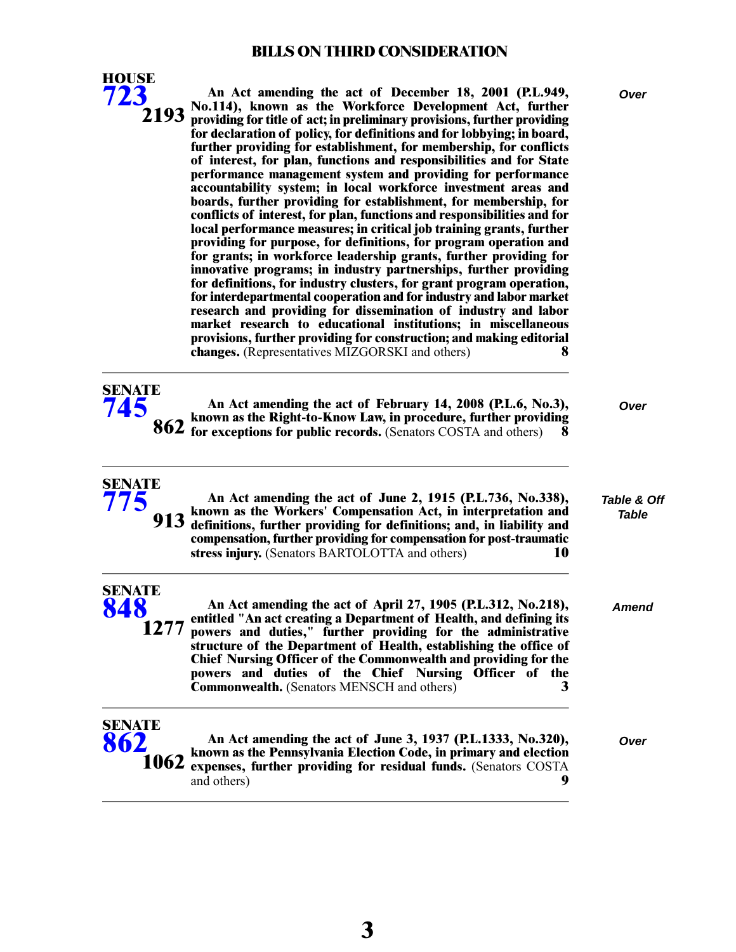

**SENATE [775](/cfdocs/billinfo/billinfo.cfm?syear=2021&sind=0&body=S&type=B&bn=775)**

**An Act amending the act of December 18, 2001 (P.L.949,** *Over* **No.114), known as the Workforce Development Act, further providing for title of act; in preliminary provisions, further providing for declaration of policy, for definitions and for lobbying; in board, further providing for establishment, for membership, for conflicts of interest, for plan, functions and responsibilities and for State 2193 performance management system and providing for performance accountability system; in local workforce investment areas and boards, further providing for establishment, for membership, for conflicts of interest, for plan, functions and responsibilities and for local performance measures; in critical job training grants, further providing for purpose, for definitions, for program operation and for grants; in workforce leadership grants, further providing for innovative programs; in industry partnerships, further providing for definitions, for industry clusters, for grant program operation, for interdepartmental cooperation and for industry and labor market research and providing for dissemination of industry and labor market research to educational institutions; in miscellaneous provisions, further providing for construction; and making editorial changes.** (Representatives MIZGORSKI and others) **8**

| <b>SENATE</b> |                                                                                                                                             |      |
|---------------|---------------------------------------------------------------------------------------------------------------------------------------------|------|
| 745           | An Act amending the act of February 14, 2008 (P.L.6, No.3),                                                                                 | Over |
|               |                                                                                                                                             |      |
|               | 862 known as the Right-to-Know Law, in procedure, further providing<br>862 for exceptions for public records. (Senators COSTA and others) 8 |      |

## *Table & Off Table*

|                              | 913 known as the Workers' Compensation Act, in interpretation and<br>913 definitions, further providing for definitions; and, in liability and<br>compensation, further providing for compensation for post-traumatic<br>stress injury. (Senators BARTOLOTTA and others)<br>10                                                                    | Table |
|------------------------------|---------------------------------------------------------------------------------------------------------------------------------------------------------------------------------------------------------------------------------------------------------------------------------------------------------------------------------------------------|-------|
| <b>SENATE</b><br>848<br>1277 | An Act amending the act of April 27, 1905 (P.L.312, No.218),<br>entitled "An act creating a Department of Health, and defining its<br>powers and duties," further providing for the administrative<br>structure of the Department of Health, establishing the office of<br><b>Chief Nursing Officer of the Commonwealth and providing for the</b> | Amend |

**powers and duties of the Chief Nursing Officer of the Commonwealth.** (Senators MENSCH and others) **3**

**An Act amending the act of June 2, 1915 (P.L.736, No.338),**

# **SENATE [862](/cfdocs/billinfo/billinfo.cfm?syear=2021&sind=0&body=S&type=B&bn=862)**

**An Act amending the act of June 3, 1937 (P.L.1333, No.320),** *Over* **known as the Pennsylvania Election Code, in primary and election expenses, further providing for residual funds.** (Senators COSTA and others) **9 1062**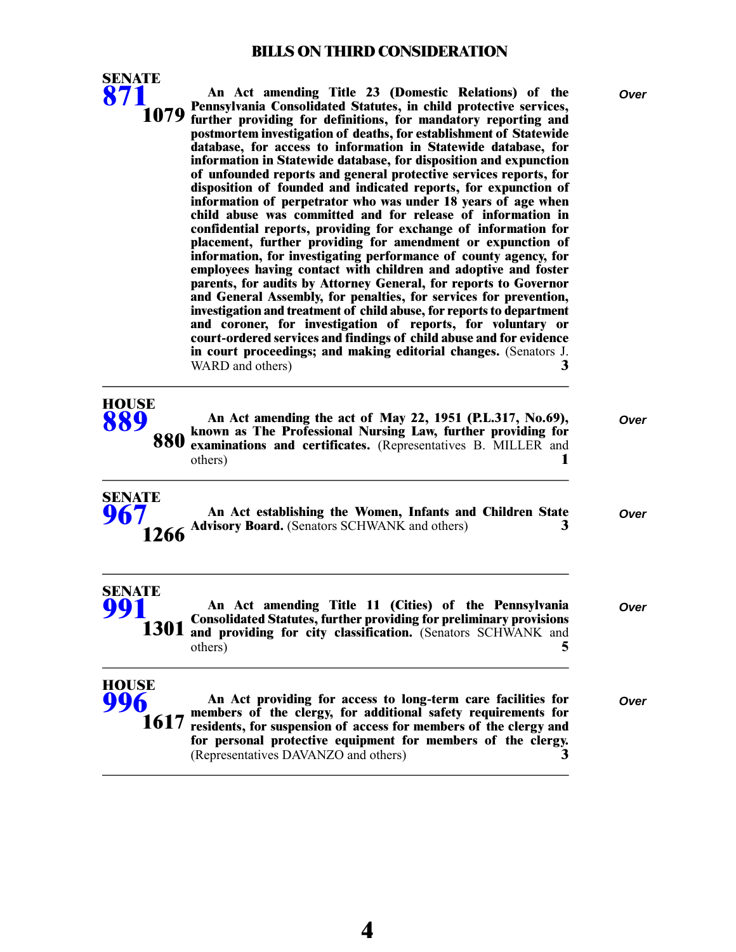**SENATE**

| 871                          | An Act amending Title 23 (Domestic Relations) of the<br>Pennsylvania Consolidated Statutes, in child protective services,<br>1079 further providing for definitions, for mandatory reporting and<br>postmortem investigation of deaths, for establishment of Statewide<br>database, for access to information in Statewide database, for<br>information in Statewide database, for disposition and expunction<br>of unfounded reports and general protective services reports, for<br>disposition of founded and indicated reports, for expunction of<br>information of perpetrator who was under 18 years of age when<br>child abuse was committed and for release of information in<br>confidential reports, providing for exchange of information for<br>placement, further providing for amendment or expunction of<br>information, for investigating performance of county agency, for<br>employees having contact with children and adoptive and foster<br>parents, for audits by Attorney General, for reports to Governor<br>and General Assembly, for penalties, for services for prevention,<br>investigation and treatment of child abuse, for reports to department<br>and coroner, for investigation of reports, for voluntary or<br>court-ordered services and findings of child abuse and for evidence<br>in court proceedings; and making editorial changes. (Senators J.<br>WARD and others)<br>3 | Over |
|------------------------------|--------------------------------------------------------------------------------------------------------------------------------------------------------------------------------------------------------------------------------------------------------------------------------------------------------------------------------------------------------------------------------------------------------------------------------------------------------------------------------------------------------------------------------------------------------------------------------------------------------------------------------------------------------------------------------------------------------------------------------------------------------------------------------------------------------------------------------------------------------------------------------------------------------------------------------------------------------------------------------------------------------------------------------------------------------------------------------------------------------------------------------------------------------------------------------------------------------------------------------------------------------------------------------------------------------------------------------------------------------------------------------------------------------------------|------|
| <b>HOUSE</b><br>889<br>880   | An Act amending the act of May 22, 1951 (P.L.317, No.69),<br>known as The Professional Nursing Law, further providing for<br>examinations and certificates. (Representatives B. MILLER and<br>others)                                                                                                                                                                                                                                                                                                                                                                                                                                                                                                                                                                                                                                                                                                                                                                                                                                                                                                                                                                                                                                                                                                                                                                                                              | Over |
| <b>SENATE</b><br>967<br>1266 | An Act establishing the Women, Infants and Children State<br>Advisory Board. (Senators SCHWANK and others)<br>3                                                                                                                                                                                                                                                                                                                                                                                                                                                                                                                                                                                                                                                                                                                                                                                                                                                                                                                                                                                                                                                                                                                                                                                                                                                                                                    | Over |
| <b>SENATE</b>                | An Act amending Title 11 (Cities) of the Pennsylvania<br><b>Consolidated Statutes, further providing for preliminary provisions</b><br>1301 and providing for city classification. (Senators SCHWANK and<br>others)                                                                                                                                                                                                                                                                                                                                                                                                                                                                                                                                                                                                                                                                                                                                                                                                                                                                                                                                                                                                                                                                                                                                                                                                | Over |
| <b>HOUSE</b><br>1617         | An Act providing for access to long-term care facilities for<br>members of the clergy, for additional safety requirements for<br>residents, for suspension of access for members of the clergy and<br>for personal protective equipment for members of the clergy.<br>(Representatives DAVANZO and others)<br>3                                                                                                                                                                                                                                                                                                                                                                                                                                                                                                                                                                                                                                                                                                                                                                                                                                                                                                                                                                                                                                                                                                    | Over |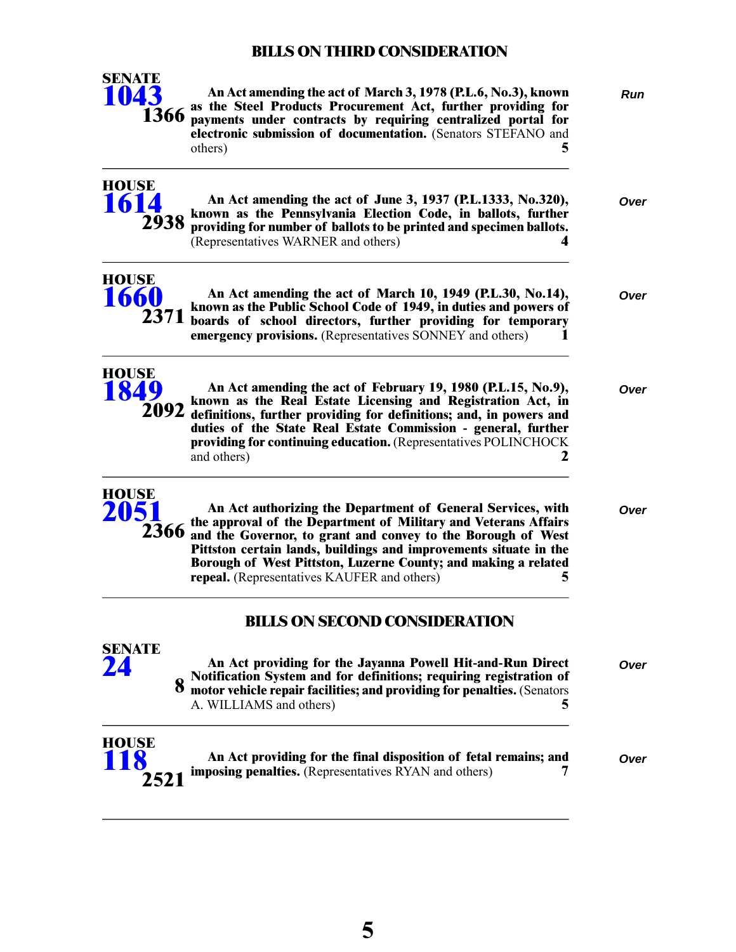

An Act amending the act of March 3, 1978 (P.L.6, No.3), known Run **as the Steel Products Procurement Act, further providing for** 1366 **payments under contracts by requiring centralized portal for electronic submission of documentation.** (Senators STEFANO and others) **5**

An Act amending the act of June 3, 1937 (P.L.1333, No.320), **known as the Pennsylvania Election Code, in ballots, further providing for number of ballots to be printed and specimen ballots.** (Representatives WARNER and others) **4**

|  | <i>yver</i> |  |
|--|-------------|--|
|  |             |  |
|  |             |  |

**HOUSE [1660](/cfdocs/billinfo/billinfo.cfm?syear=2021&sind=0&body=H&type=B&bn=1660) 2371**

**HOUSE [1614](/cfdocs/billinfo/billinfo.cfm?syear=2021&sind=0&body=H&type=B&bn=1614)**

**2938**

| An Act amending the act of March 10, 1949 (P.L.30, No.14),<br>71 known as the Public School Code of 1949, in duties and powers of<br>71 boards of school directors, further providing for temporary<br><b>emergency provisions.</b> (Representatives SONNEY and others) | Over |
|-------------------------------------------------------------------------------------------------------------------------------------------------------------------------------------------------------------------------------------------------------------------------|------|
|-------------------------------------------------------------------------------------------------------------------------------------------------------------------------------------------------------------------------------------------------------------------------|------|



|  | An Act amending the act of February 19, 1980 (P.L.15, No.9),<br>92 known as the Real Estate Licensing and Registration Act, in<br>92 definitions, further providing for definitions; and, in powers and<br>duties of the State Real Estate Commission - general, further<br>providing for continuing education. (Representatives POLINCHOCK<br>and others) | Over |
|--|------------------------------------------------------------------------------------------------------------------------------------------------------------------------------------------------------------------------------------------------------------------------------------------------------------------------------------------------------------|------|
|--|------------------------------------------------------------------------------------------------------------------------------------------------------------------------------------------------------------------------------------------------------------------------------------------------------------------------------------------------------------|------|



**SENATE**

**An Act authorizing the Department of General Services, with** *Over* **the approval of the Department of Military and Veterans Affairs and the Governor, to grant and convey to the Borough of West Pittston certain lands, buildings and improvements situate in the Borough of West Pittston, Luzerne County; and making a related repeal.** (Representatives KAUFER and others) **5**

#### **BILLS ON SECOND CONSIDERATION**

| SENAIL<br>24               | An Act providing for the Jayanna Powell Hit-and-Run Direct<br>Notification System and for definitions; requiring registration of motor vehicle repair facilities; and providing for penalties. (Senators<br>8 | Over |
|----------------------------|---------------------------------------------------------------------------------------------------------------------------------------------------------------------------------------------------------------|------|
|                            | A. WILLIAMS and others)                                                                                                                                                                                       |      |
| <b>HOUSE</b><br>118<br>フトフ | An Act providing for the final disposition of fetal remains; and<br><b>imposing penalties.</b> (Representatives RYAN and others)                                                                              | Over |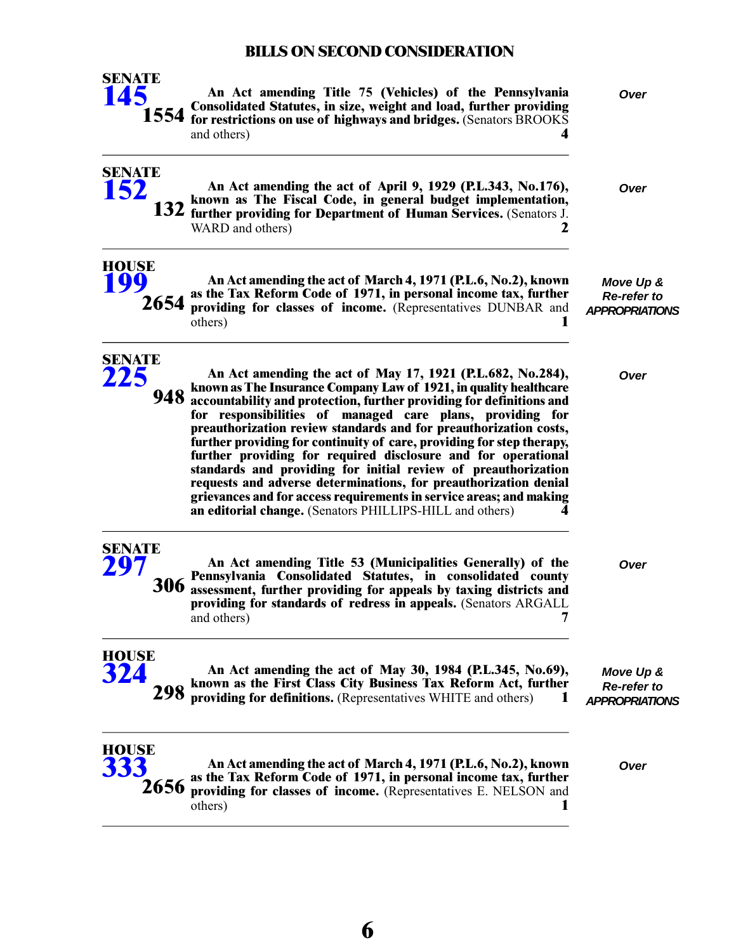

**An Act amending Title 75 (Vehicles) of the Pennsylvania** *Over* **Consolidated Statutes, in size, weight and load, further providing for restrictions on use of highways and bridges.** (Senators BROOKS and others) **4**

**An Act amending the act of April 9, 1929 (P.L.343, No.176),** *Over* **known as The Fiscal Code, in general budget implementation, further providing for Department of Human Services.** (Senators J. WARD and others) **2 132**

> *Move Up & Re-refer to APPROPRIATIONS*

> > *Move Up & Re-refer to*

**HOUSE [199](/cfdocs/billinfo/billinfo.cfm?syear=2021&sind=0&body=H&type=B&bn=199)**

**SENATE [152](/cfdocs/billinfo/billinfo.cfm?syear=2021&sind=0&body=S&type=B&bn=152)**

> **An Act amending the act of March 4, 1971 (P.L.6, No.2), known as the Tax Reform Code of 1971, in personal income tax, further providing for classes of income.** (Representatives DUNBAR and others) **1 2654**



**An Act amending the act of May 17, 1921 (P.L.682, No.284),** *Over* **known as The Insurance Company Law of 1921, in quality healthcare accountability and protection, further providing for definitions and for responsibilities of managed care plans, providing for preauthorization review standards and for preauthorization costs, further providing for continuity of care, providing for step therapy, 948 further providing for required disclosure and for operational standards and providing for initial review of preauthorization requests and adverse determinations, for preauthorization denial grievances and for access requirements in service areas; and making an editorial change.** (Senators PHILLIPS-HILL and others) **4**

**SENATE [297](/cfdocs/billinfo/billinfo.cfm?syear=2021&sind=0&body=S&type=B&bn=297) 306**

**An Act amending Title 53 (Municipalities Generally) of the** *Over* **Pennsylvania Consolidated Statutes, in consolidated county assessment, further providing for appeals by taxing districts and providing for standards of redress in appeals.** (Senators ARGALL and others) **7** 

**HOUSE [324](/cfdocs/billinfo/billinfo.cfm?syear=2021&sind=0&body=H&type=B&bn=324)**

*APPROPRIATIONS* **An Act amending the act of May 30, 1984 (P.L.345, No.69), known as the First Class City Business Tax Reform Act, further providing for definitions.** (Representatives WHITE and others) **1 298**

**HOUSE [333](/cfdocs/billinfo/billinfo.cfm?syear=2021&sind=0&body=H&type=B&bn=333)**

**2656**

**An Act amending the act of March 4, 1971 (P.L.6, No.2), known** *Over* **as the Tax Reform Code of 1971, in personal income tax, further providing for classes of income.** (Representatives E. NELSON and others) **1**

**6**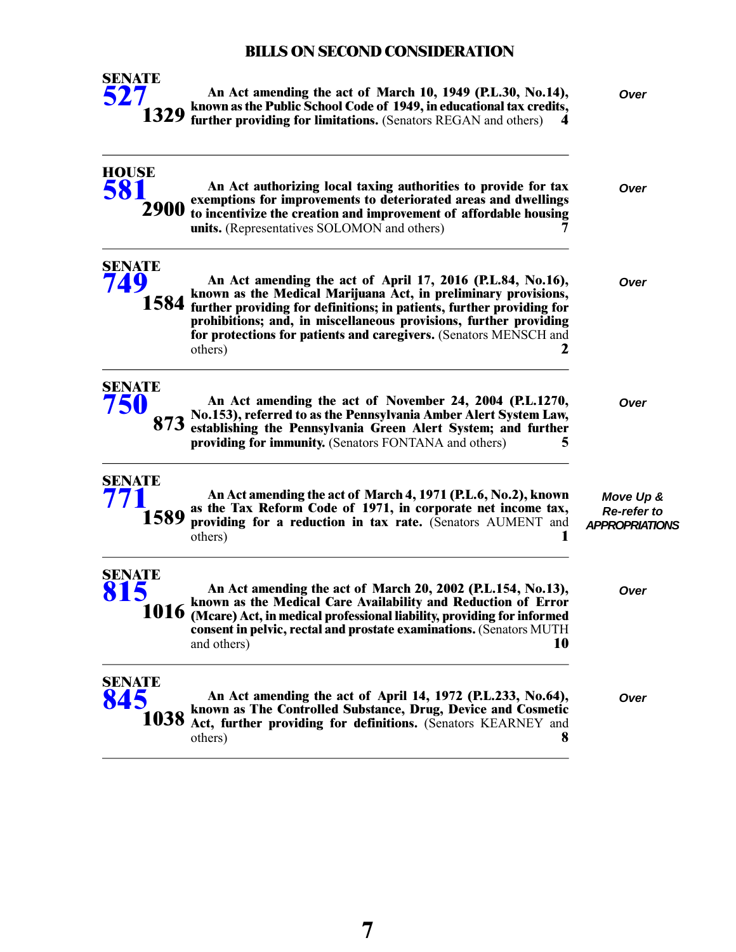

**An Act amending the act of March 10, 1949 (P.L.30, No.14),** *Over* **known as the Public School Code of 1949, in educational tax credits, further providing for limitations.** (Senators REGAN and others) 4

| <b>HOUSE</b><br>581          | An Act authorizing local taxing authorities to provide for tax<br>exemptions for improvements to deteriorated areas and dwellings<br>2900 to incentivize the creation and improvement of affordable housing<br>units. (Representatives SOLOMON and others)                                                                                                           | Over                                                     |
|------------------------------|----------------------------------------------------------------------------------------------------------------------------------------------------------------------------------------------------------------------------------------------------------------------------------------------------------------------------------------------------------------------|----------------------------------------------------------|
| <b>SENATE</b><br>749         | An Act amending the act of April 17, 2016 (P.L.84, No.16),<br>known as the Medical Marijuana Act, in preliminary provisions,<br>1584 further providing for definitions; in patients, further providing for<br>prohibitions; and, in miscellaneous provisions, further providing<br>for protections for patients and caregivers. (Senators MENSCH and<br>others)<br>2 | Over                                                     |
| <b>SENATE</b><br>750<br>873  | An Act amending the act of November 24, 2004 (P.L.1270,<br>No.153), referred to as the Pennsylvania Amber Alert System Law,<br>establishing the Pennsylvania Green Alert System; and further<br>providing for immunity. (Senators FONTANA and others)<br>5                                                                                                           | Over                                                     |
| <b>SENATE</b><br>1589        | An Act amending the act of March 4, 1971 (P.L.6, No.2), known<br>as the Tax Reform Code of 1971, in corporate net income tax,<br>providing for a reduction in tax rate. (Senators AUMENT and<br>others)                                                                                                                                                              | Move Up &<br><b>Re-refer to</b><br><b>APPROPRIATIONS</b> |
| <b>SENATE</b><br>815<br>1016 | An Act amending the act of March 20, 2002 (P.L.154, No.13),<br>known as the Medical Care Availability and Reduction of Error<br>(Mcare) Act, in medical professional liability, providing for informed<br>consent in pelvic, rectal and prostate examinations. (Senators MUTH<br>and others)<br>10                                                                   | Over                                                     |
| SENATE<br>1038               | An Act amending the act of April 14, 1972 (P.L.233, No.64),<br>known as The Controlled Substance, Drug, Device and Cosmetic<br>Act, further providing for definitions. (Senators KEARNEY and<br>8<br>others)                                                                                                                                                         | Over                                                     |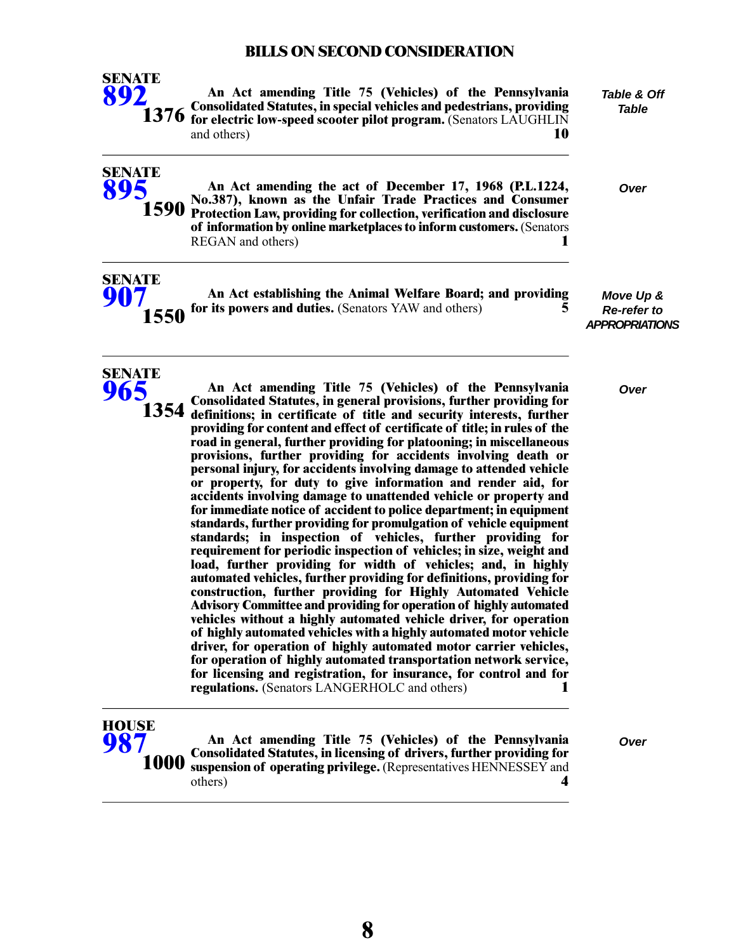

**SENATE [895](/cfdocs/billinfo/billinfo.cfm?syear=2021&sind=0&body=S&type=B&bn=895)**

**SENATE [907](/cfdocs/billinfo/billinfo.cfm?syear=2021&sind=0&body=S&type=B&bn=907)**

**SENATE [965](/cfdocs/billinfo/billinfo.cfm?syear=2021&sind=0&body=S&type=B&bn=965)**

**An Act amending Title 75 (Vehicles) of the Pennsylvania Consolidated Statutes, in special vehicles and pedestrians, providing for electric low-speed scooter pilot program.** (Senators LAUGHLIN and others) **10**

**No.387), known as the Unfair Trade Practices and Consumer**

**of information by online marketplaces to inform customers.** (Senators REGAN and others) **1**

**1590** Protection Law, providing for collection, verification and disclosure

*Table & Off Table*

**An Act amending the act of December 17, 1968 (P.L.1224,** *Over*

| TE |                                                                  |  |
|----|------------------------------------------------------------------|--|
|    | An Act establishing the Animal Welfare Board; and providing      |  |
|    | <b>1550</b> for its powers and duties. (Senators YAW and others) |  |

*Move Up & Re-refer to APPROPRIATIONS*

**An Act amending Title 75 (Vehicles) of the Pennsylvania** *Over* **Consolidated Statutes, in general provisions, further providing for definitions; in certificate of title and security interests, further providing for content and effect of certificate of title; in rules of the road in general, further providing for platooning; in miscellaneous provisions, further providing for accidents involving death or 1354 personal injury, for accidents involving damage to attended vehicle or property, for duty to give information and render aid, for accidents involving damage to unattended vehicle or property and for immediate notice of accident to police department; in equipment standards, further providing for promulgation of vehicle equipment standards; in inspection of vehicles, further providing for requirement for periodic inspection of vehicles; in size, weight and load, further providing for width of vehicles; and, in highly automated vehicles, further providing for definitions, providing for construction, further providing for Highly Automated Vehicle Advisory Committee and providing for operation of highly automated vehicles without a highly automated vehicle driver, for operation of highly automated vehicles with a highly automated motor vehicle driver, for operation of highly automated motor carrier vehicles, for operation of highly automated transportation network service, for licensing and registration, for insurance, for control and for regulations.** (Senators LANGERHOLC and others) **1**

#### **HOUSE [987](/cfdocs/billinfo/billinfo.cfm?syear=2021&sind=0&body=H&type=B&bn=987)**

**An Act amending Title 75 (Vehicles) of the Pennsylvania** *Over* **Consolidated Statutes, in licensing of drivers, further providing for suspension of operating privilege.** (Representatives HENNESSEY and others) **4 1000**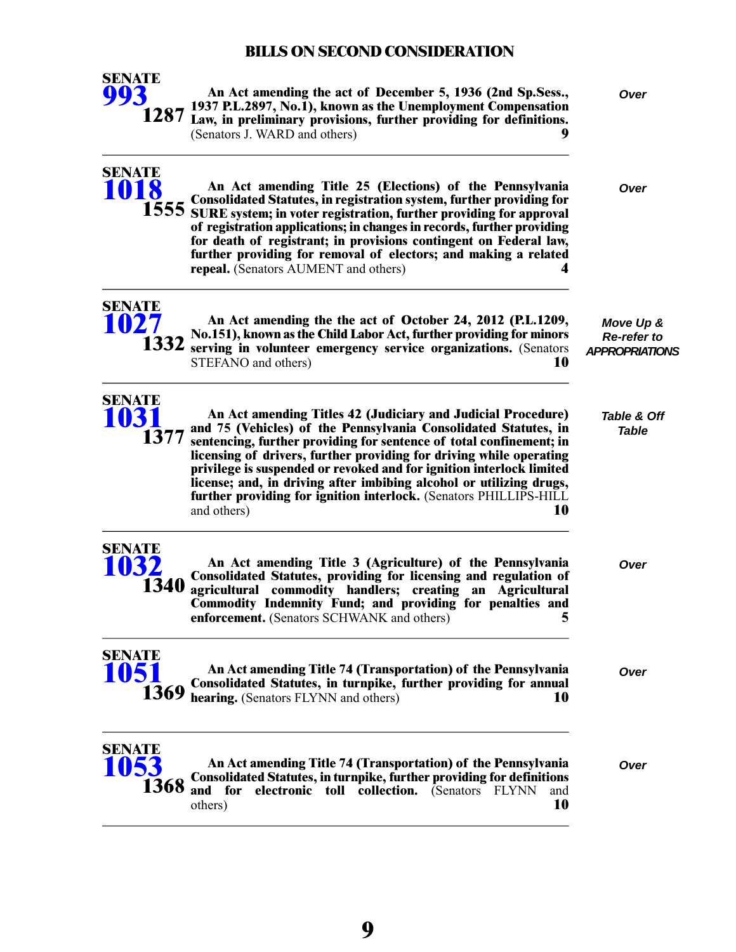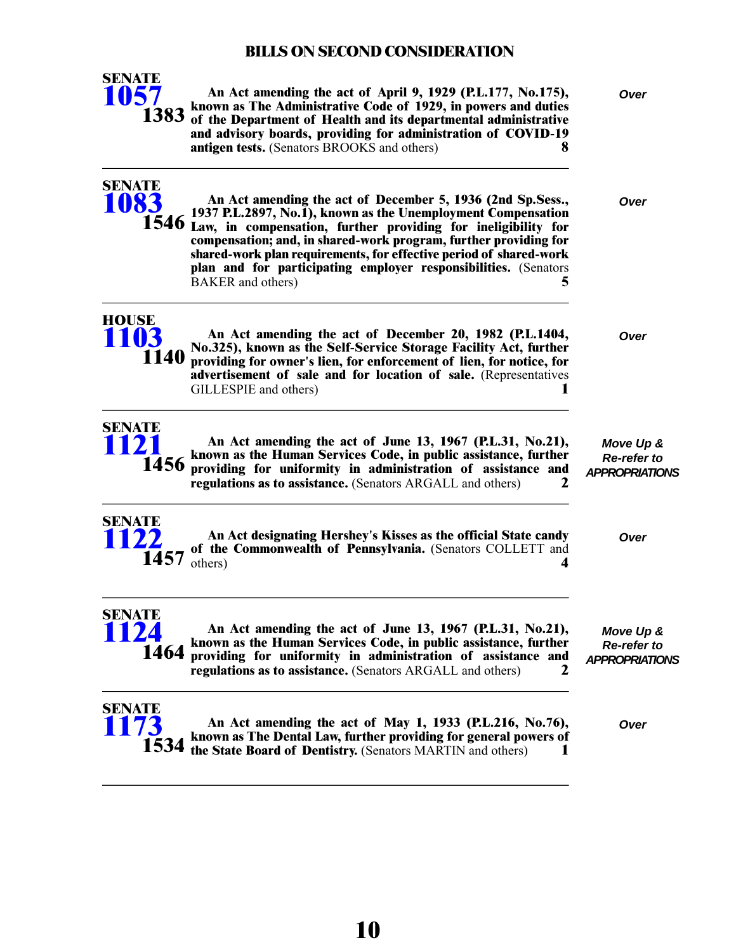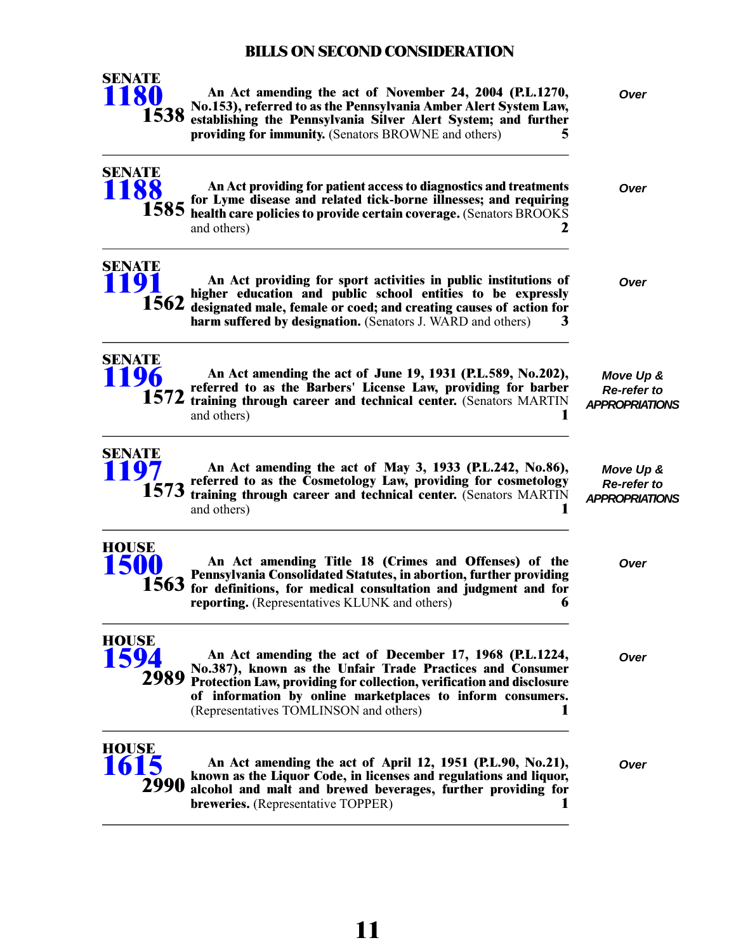

**SENATE [1188](/cfdocs/billinfo/billinfo.cfm?syear=2021&sind=0&body=S&type=B&bn=1188)**

**An Act amending the act of November 24, 2004 (P.L.1270,** *Over* **No.153), referred to as the Pennsylvania Amber Alert System Law, establishing the Pennsylvania Silver Alert System; and further 1538 providing for immunity.** (Senators BROWNE and others) **5**

**An Act providing for patient access to diagnostics and treatments** *Over* **for Lyme disease and related tick-borne illnesses; and requiring health care policies to provide certain coverage.** (Senators BROOKS and others) **2 1585**

**An Act providing for sport activities in public institutions of** *Over* **higher education and public school entities to be expressly designated male, female or coed; and creating causes of action for harm suffered by designation.** (Senators J. WARD and others) **3 SENATE [1191](/cfdocs/billinfo/billinfo.cfm?syear=2021&sind=0&body=S&type=B&bn=1191) 1562**



| 1572                         | An Act amending the act of June 19, 1931 (P.L.589, No.202),<br>referred to as the Barbers' License Law, providing for barber<br>training through career and technical center. (Senators MARTIN<br>and others)                                                   | Move Up &<br>Re-refer to<br><b>APPROPRIATIONS</b> |
|------------------------------|-----------------------------------------------------------------------------------------------------------------------------------------------------------------------------------------------------------------------------------------------------------------|---------------------------------------------------|
| <b>SENATE</b><br><b>1197</b> | An Act amending the act of May 3, 1933 (P.L.242, No.86),<br>referred to as the Cosmetology Law, providing for cosmetology<br>1573 training through career and technical center. (Senators MARTIN<br>and others)                                                 | Move Up &<br>Re-refer to<br><b>APPROPRIATIONS</b> |
| <b>HOUSE</b><br><b>1500</b>  | An Act amending Title 18 (Crimes and Offenses) of the<br>Pennsylvania Consolidated Statutes, in abortion, further providing<br>1563 for definitions, for medical consultation and judgment and for<br><b>reporting.</b> (Representatives KLUNK and others)<br>h | Over                                              |
| <b>HOUSE</b>                 | An Act amending the act of December 17, 1968 (P.L.1224,<br>No.387), known as the Unfair Trade Practices and Consumer<br>Protection Law, providing for collection, verification and disclosure<br>of information by online marketplaces to inform consumers.     | Over                                              |

(Representatives TOMLINSON and others) **1**



**An Act amending the act of April 12, 1951 (P.L.90, No.21),** *Over* **known as the Liquor Code, in licenses and regulations and liquor, alcohol and malt and brewed beverages, further providing for breweries.** (Representative TOPPER) **1**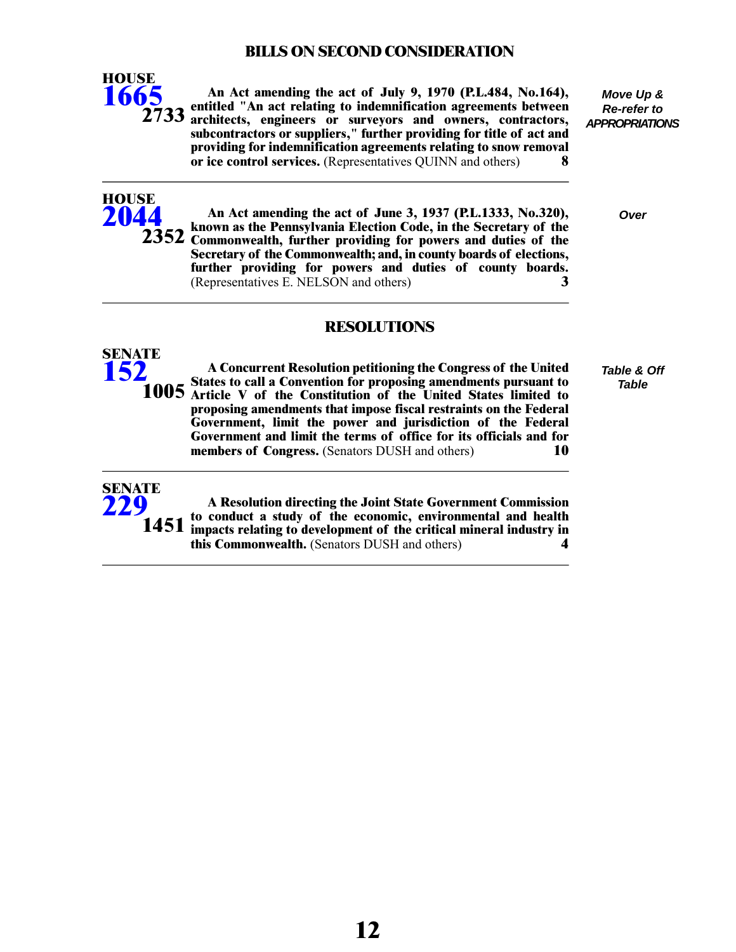

**HOUSE [2044](/cfdocs/billinfo/billinfo.cfm?syear=2021&sind=0&body=H&type=B&bn=2044)**

**SENATE [152](/cfdocs/billinfo/billinfo.cfm?syear=2021&sind=0&body=S&type=R&bn=152)**

**An Act amending the act of July 9, 1970 (P.L.484, No.164), entitled "An act relating to indemnification agreements between architects, engineers or surveyors and owners, contractors, subcontractors or suppliers," further providing for title of act and providing for indemnification agreements relating to snow removal or ice control services.** (Representatives QUINN and others) **8**

*Move Up & Re-refer to APPROPRIATIONS*

**An Act amending the act of June 3, 1937 (P.L.1333, No.320),** *Over*

**RESOLUTIONS**

**known as the Pennsylvania Election Code, in the Secretary of the**

**Secretary of the Commonwealth; and, in county boards of elections, further providing for powers and duties of county boards.** (Representatives E. NELSON and others) **3**

2352 Commonwealth, further providing for powers and duties of the

**A Concurrent Resolution petitioning the Congress of the United States to call a Convention for proposing amendments pursuant to 1005** Article V of the Constitution of the United States limited to **proposing amendments that impose fiscal restraints on the Federal Government, limit the power and jurisdiction of the Federal Government and limit the terms of office for its officials and for members of Congress.** (Senators DUSH and others) **10**

*Table & Off Table*



**A Resolution directing the Joint State Government Commission to conduct a study of the economic, environmental and health impacts relating to development of the critical mineral industry in this Commonwealth.** (Senators DUSH and others) **4**